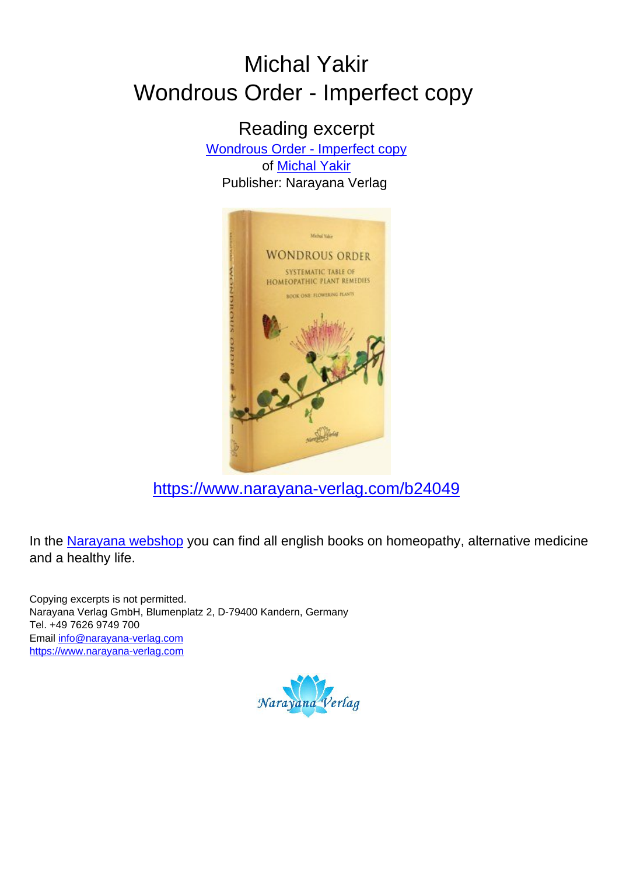# Michal Yakir Wondrous Order - Imperfect copy

Reading excerpt [Wondrous Order - Imperfect copy](https://www.narayana-verlag.com/Wondrous-Order-Imperfect-copy-Michal-Yakir/b24049/partner/leseprobe) of [Michal Yakir](https://www.narayana-verlag.com/Michal-Yakir/a4316/partner/leseprobe) Publisher: Narayana Verlag



[https://www.narayana-verlag.com/b24049](https://www.narayana-verlag.com/Wondrous-Order-Imperfect-copy-Michal-Yakir/b24049/partner/leseprobe)

In the [Narayana webshop](https://www.narayana-verlag.com/partner/leseprobe) you can find all english books on homeopathy, alternative medicine and a healthy life.

Copying excerpts is not permitted. Narayana Verlag GmbH, Blumenplatz 2, D-79400 Kandern, Germany Tel. +49 7626 9749 700 Email [info@narayana-verlag.com](mailto:info@narayana-verlag.com) [https://www.narayana-verlag.com](https://www.narayana-verlag.com/partner/leseprobe)

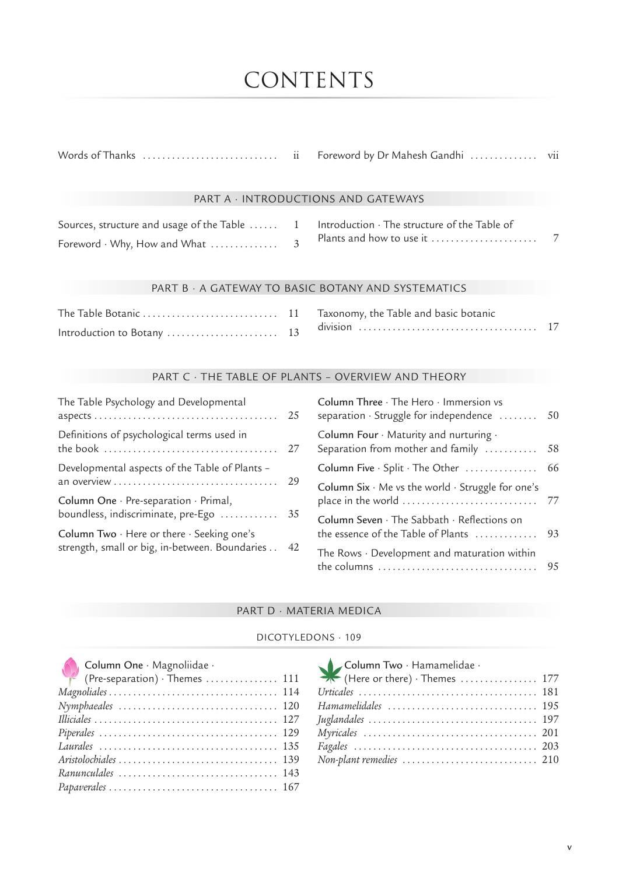# CONTENTS

## PART A · INTRODUCTIONS AND GATEWAYS

| Sources, structure and usage of the Table  1 Introduction · The structure of the Table of |  |  |
|-------------------------------------------------------------------------------------------|--|--|
| Foreword $\cdot$ Why, How and What $\dots\dots\dots\dots\dots$ 3                          |  |  |

# PART B · A GATEWAY TO BASIC BOTANY AND SYSTEMATICS

### PART C · THE TABLE OF PLANTS – OVERVIEW AND THEORY

| 25                                             |
|------------------------------------------------|
| 27                                             |
| 29                                             |
| 35                                             |
| 42                                             |
| strength, small or big, in-between. Boundaries |

| Column Three · The Hero · Immersion vs<br>separation · Struggle for independence              | 50 |
|-----------------------------------------------------------------------------------------------|----|
| Column Four · Maturity and nurturing ·<br>Separation from mother and family                   | 58 |
| Column Five $\cdot$ Split $\cdot$ The Other $\dots\dots\dots\dots\dots$                       | 66 |
| Column Six $\cdot$ Me vs the world $\cdot$ Struggle for one's<br>place in the world           | 77 |
| Column Seven $\cdot$ The Sabbath $\cdot$ Reflections on<br>the essence of the Table of Plants | 93 |
| The Rows $\cdot$ Development and maturation within<br>the columns                             | 95 |

# PART D · MATERIA MEDICA

## DICOTYLEDONS · 109

| Column One · Magnoliidae ·     |  |
|--------------------------------|--|
| (Pre-separation) · Themes  111 |  |
|                                |  |
|                                |  |
|                                |  |
|                                |  |
|                                |  |
|                                |  |
|                                |  |
|                                |  |

| Column Two · Hamamelidae ·<br>(Here or there) · Themes ……………… 177 |  |
|-------------------------------------------------------------------|--|
|                                                                   |  |
|                                                                   |  |
| Hamamelidales  195                                                |  |
|                                                                   |  |
|                                                                   |  |
|                                                                   |  |
|                                                                   |  |
|                                                                   |  |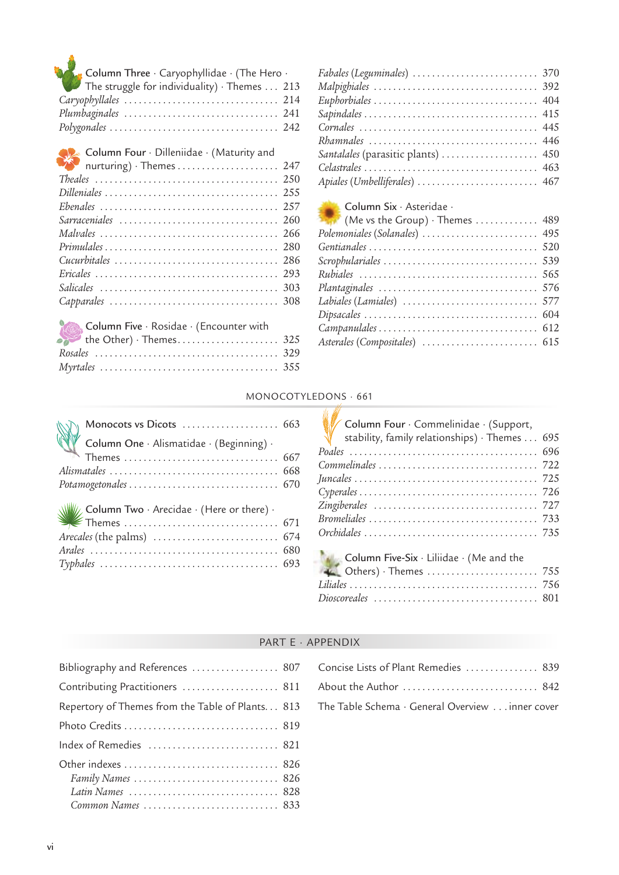| Column Three · Caryophyllidae · (The Hero ·<br>The struggle for individuality) · Themes 213 |
|---------------------------------------------------------------------------------------------|
|                                                                                             |
|                                                                                             |
|                                                                                             |
|                                                                                             |

| Sarraceniales  260                      |  |
|-----------------------------------------|--|
|                                         |  |
|                                         |  |
|                                         |  |
|                                         |  |
|                                         |  |
|                                         |  |
|                                         |  |
| Column Five · Rosidae · (Encounter with |  |
|                                         |  |
|                                         |  |
|                                         |  |

| Fabales (Leguminales)  370         |  |
|------------------------------------|--|
|                                    |  |
|                                    |  |
|                                    |  |
|                                    |  |
| Rhamnales  446                     |  |
| Santalales (parasitic plants)  450 |  |
|                                    |  |
|                                    |  |
|                                    |  |

# Column Six · Asteridae ·

| $\mathbb{R}$ (Me vs the Group) $\cdot$ Themes $\dots\dots\dots\dots$ 489 |  |
|--------------------------------------------------------------------------|--|
| Polemoniales (Solanales)  495                                            |  |
|                                                                          |  |
|                                                                          |  |
|                                                                          |  |
|                                                                          |  |
|                                                                          |  |
|                                                                          |  |
|                                                                          |  |
|                                                                          |  |
|                                                                          |  |

# MONOCOTYLEDONS · 661

| Monocots vs Dicots  663<br>Column One · Alismatidae · (Beginning) ·<br>Themes  667 | Column Four · Commelinidae · (Support,<br>stability, family relationships) · Themes 695<br>$Cy\nperales \ldots \ldots \ldots \ldots \ldots \ldots \ldots \ldots \ldots \ldots \ldots \ldots \ldots$ 726 |  |
|------------------------------------------------------------------------------------|---------------------------------------------------------------------------------------------------------------------------------------------------------------------------------------------------------|--|
| Arecales (the palms) $\dots\dots\dots\dots\dots\dots\dots\dots$ 674                |                                                                                                                                                                                                         |  |
|                                                                                    | <b>Column Five-Six</b> $\cdot$ Liliidae $\cdot$ (Me and the                                                                                                                                             |  |

# PART E · APPENDIX

| Bibliography and References  807                 |  |
|--------------------------------------------------|--|
| Contributing Practitioners  811                  |  |
| Repertory of Themes from the Table of Plants 813 |  |
|                                                  |  |
| Index of Remedies  821                           |  |
|                                                  |  |
| Latin Names  828                                 |  |
| Common Names  833                                |  |

| Concise Lists of Plant Remedies  839            |  |
|-------------------------------------------------|--|
|                                                 |  |
| The Table Schema · General Overview inner cover |  |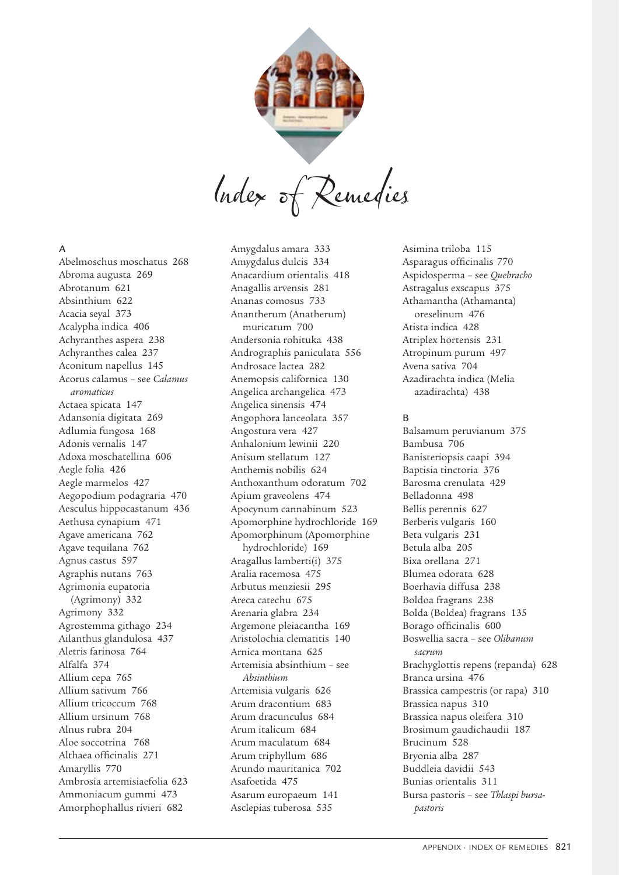

Index of Remedies

# A

Abelmoschus moschatus 268 Abroma augusta 269 Abrotanum 621 Absinthium 622 Acacia seyal 373 Acalypha indica 406 Achyranthes aspera 238 Achyranthes calea 237 Aconitum napellus 145 Acorus calamus – see *Calamus aromaticus* Actaea spicata 147 Adansonia digitata 269 Adlumia fungosa 168 Adonis vernalis 147 Adoxa moschatellina 606 Aegle folia 426 Aegle marmelos 427 Aegopodium podagraria 470 Aesculus hippocastanum 436 Aethusa cynapium 471 Agave americana 762 Agave tequilana 762 Agnus castus 597 Agraphis nutans 763 Agrimonia eupatoria (Agrimony) 332 Agrimony 332 Agrostemma githago 234 Ailanthus glandulosa 437 Aletris farinosa 764 Alfalfa 374 Allium cepa 765 Allium sativum 766 Allium tricoccum 768 Allium ursinum 768 Alnus rubra 204 Aloe soccotrina 768 Althaea officinalis 271 Amaryllis 770 Ambrosia artemisiaefolia 623 Ammoniacum gummi 473 Amorphophallus rivieri 682

Amygdalus amara 333 Amygdalus dulcis 334 Anacardium orientalis 418 Anagallis arvensis 281 Ananas comosus 733 Anantherum (Anatherum) muricatum 700 Andersonia rohituka 438 Andrographis paniculata 556 Androsace lactea 282 Anemopsis californica 130 Angelica archangelica 473 Angelica sinensis 474 Angophora lanceolata 357 Angostura vera 427 Anhalonium lewinii 220 Anisum stellatum 127 Anthemis nobilis 624 Anthoxanthum odoratum 702 Apium graveolens 474 Apocynum cannabinum 523 Apomorphine hydrochloride 169 Apomorphinum (Apomorphine hydrochloride) 169 Aragallus lamberti(i) 375 Aralia racemosa 475 Arbutus menziesii 295 Areca catechu 675 Arenaria glabra 234 Argemone pleiacantha 169 Aristolochia clematitis 140 Arnica montana 625 Artemisia absinthium – see *Absinthium* Artemisia vulgaris 626 Arum dracontium 683 Arum dracunculus 684 Arum italicum 684 Arum maculatum 684 Arum triphyllum 686 Arundo mauritanica 702 Asafoetida 475 Asarum europaeum 141 Asclepias tuberosa 535

Asimina triloba 115 Asparagus officinalis 770 Aspidosperma – see *Quebracho* Astragalus exscapus 375 Athamantha (Athamanta) oreselinum 476 Atista indica 428 Atriplex hortensis 231 Atropinum purum 497 Avena sativa 704 Azadirachta indica (Melia azadirachta) 438

#### B

Balsamum peruvianum 375 Bambusa 706 Banisteriopsis caapi 394 Baptisia tinctoria 376 Barosma crenulata 429 Belladonna 498 Bellis perennis 627 Berberis vulgaris 160 Beta vulgaris 231 Betula alba 205 Bixa orellana 271 Blumea odorata 628 Boerhavia diffusa 238 Boldoa fragrans 238 Bolda (Boldea) fragrans 135 Borago officinalis 600 Boswellia sacra – see *Olibanum sacrum* Brachyglottis repens (repanda) 628 Branca ursina 476 Brassica campestris (or rapa) 310 Brassica napus 310 Brassica napus oleifera 310 Brosimum gaudichaudii 187 Brucinum 528 Bryonia alba 287 Buddleia davidii 543 Bunias orientalis 311 Bursa pastoris – see *Thlaspi bursapastoris*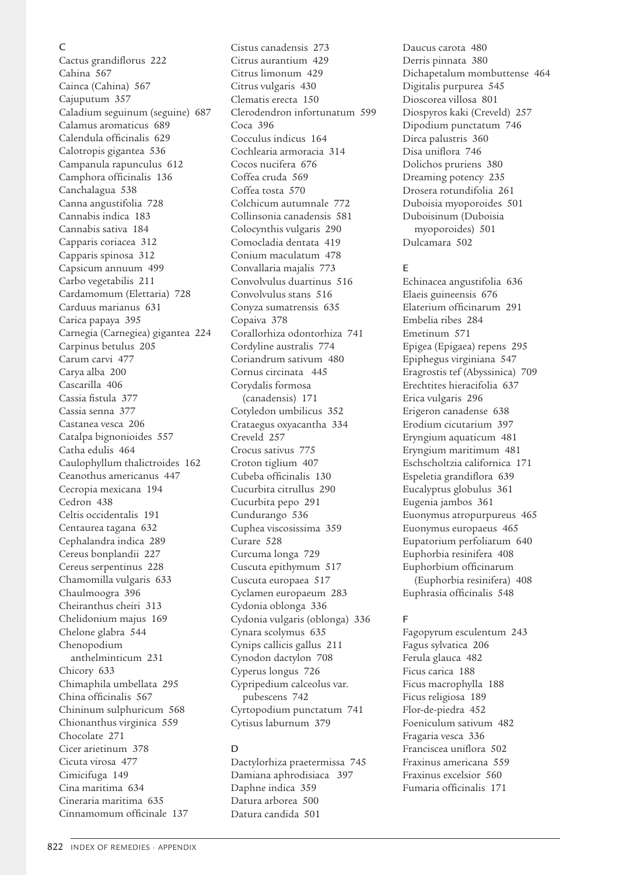## C

Cactus grandiflorus 222 Cahina 567 Cainca (Cahina) 567 Cajuputum 357 Caladium seguinum (seguine) 687 Calamus aromaticus 689 Calendula officinalis 629 Calotropis gigantea 536 Campanula rapunculus 612 Camphora officinalis 136 Canchalagua 538 Canna angustifolia 728 Cannabis indica 183 Cannabis sativa 184 Capparis coriacea 312 Capparis spinosa 312 Capsicum annuum 499 Carbo vegetabilis 211 Cardamomum (Elettaria) 728 Carduus marianus 631 Carica papaya 395 Carnegia (Carnegiea) gigantea 224 Carpinus betulus 205 Carum carvi 477 Carya alba 200 Cascarilla 406 Cassia fistula 377 Cassia senna 377 Castanea vesca 206 Catalpa bignonioides 557 Catha edulis 464 Caulophyllum thalictroides 162 Ceanothus americanus 447 Cecropia mexicana 194 Cedron 438 Celtis occidentalis 191 Centaurea tagana 632 Cephalandra indica 289 Cereus bonplandii 227 Cereus serpentinus 228 Chamomilla vulgaris 633 Chaulmoogra 396 Cheiranthus cheiri 313 Chelidonium majus 169 Chelone glabra 544 Chenopodium anthelminticum 231 Chicory 633 Chimaphila umbellata 295 China officinalis 567 Chininum sulphuricum 568 Chionanthus virginica 559 Chocolate 271 Cicer arietinum 378 Cicuta virosa 477 Cimicifuga 149 Cina maritima 634 Cineraria maritima 635 Cinnamomum officinale 137

Cistus canadensis 273 Citrus aurantium 429 Citrus limonum 429 Citrus vulgaris 430 Clematis erecta 150 Clerodendron infortunatum 599 Coca 396 Cocculus indicus 164 Cochlearia armoracia 314 Cocos nucifera 676 Coffea cruda 569 Coffea tosta 570 Colchicum autumnale 772 Collinsonia canadensis 581 Colocynthis vulgaris 290 Comocladia dentata 419 Conium maculatum 478 Convallaria majalis 773 Convolvulus duartinus 516 Convolvulus stans 516 Conyza sumatrensis 635 Copaiva 378 Corallorhiza odontorhiza 741 Cordyline australis 774 Coriandrum sativum 480 Cornus circinata 445 Corydalis formosa (canadensis) 171 Cotyledon umbilicus 352 Crataegus oxyacantha 334 Creveld 257 Crocus sativus 775 Croton tiglium 407 Cubeba officinalis 130 Cucurbita citrullus 290 Cucurbita pepo 291 Cundurango 536 Cuphea viscosissima 359 Curare 528 Curcuma longa 729 Cuscuta epithymum 517 Cuscuta europaea 517 Cyclamen europaeum 283 Cydonia oblonga 336 Cydonia vulgaris (oblonga) 336 Cynara scolymus 635 Cynips callicis gallus 211 Cynodon dactylon 708 Cyperus longus 726 Cypripedium calceolus var. pubescens 742 Cyrtopodium punctatum 741 Cytisus laburnum 379

# $\mathsf{D}$

Dactylorhiza praetermissa 745 Damiana aphrodisiaca 397 Daphne indica 359 Datura arborea 500 Datura candida 501

Daucus carota 480 Derris pinnata 380 Dichapetalum mombuttense 464 Digitalis purpurea 545 Dioscorea villosa 801 Diospyros kaki (Creveld) 257 Dipodium punctatum 746 Dirca palustris 360 Disa uniflora 746 Dolichos pruriens 380 Dreaming potency 235 Drosera rotundifolia 261 Duboisia myoporoides 501 Duboisinum (Duboisia myoporoides) 501 Dulcamara 502

# E

Echinacea angustifolia 636 Elaeis guineensis 676 Elaterium officinarum 291 Embelia ribes 284 Emetinum 571 Epigea (Epigaea) repens 295 Epiphegus virginiana 547 Eragrostis tef (Abyssinica) 709 Erechtites hieracifolia 637 Erica vulgaris 296 Erigeron canadense 638 Erodium cicutarium 397 Eryngium aquaticum 481 Eryngium maritimum 481 Eschscholtzia californica 171 Espeletia grandiflora 639 Eucalyptus globulus 361 Eugenia jambos 361 Euonymus atropurpureus 465 Euonymus europaeus 465 Eupatorium perfoliatum 640 Euphorbia resinifera 408 Euphorbium officinarum (Euphorbia resinifera) 408 Euphrasia officinalis 548

# F

Fagopyrum esculentum 243 Fagus sylvatica 206 Ferula glauca 482 Ficus carica 188 Ficus macrophylla 188 Ficus religiosa 189 Flor-de-piedra 452 Foeniculum sativum 482 Fragaria vesca 336 Franciscea uniflora 502 Fraxinus americana 559 Fraxinus excelsior 560 Fumaria officinalis 171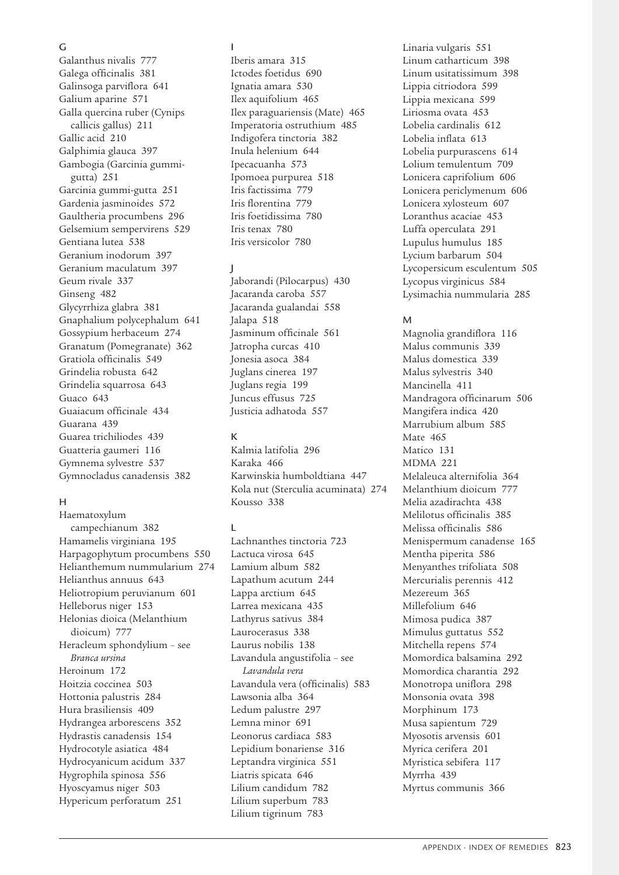# G

Galanthus nivalis 777 Galega officinalis 381 Galinsoga parviflora 641 Galium aparine 571 Galla quercina ruber (Cynips callicis gallus) 211 Gallic acid 210 Galphimia glauca 397 Gambogia (Garcinia gummigutta) 251 Garcinia gummi-gutta 251 Gardenia jasminoides 572 Gaultheria procumbens 296 Gelsemium sempervirens 529 Gentiana lutea 538 Geranium inodorum 397 Geranium maculatum 397 Geum rivale 337 Ginseng 482 Glycyrrhiza glabra 381 Gnaphalium polycephalum 641 Gossypium herbaceum 274 Granatum (Pomegranate) 362 Gratiola officinalis 549 Grindelia robusta 642 Grindelia squarrosa 643 Guaco 643 Guaiacum officinale 434 Guarana 439 Guarea trichiliodes 439 Guatteria gaumeri 116 Gymnema sylvestre 537 Gymnocladus canadensis 382

# H

Haematoxylum campechianum 382 Hamamelis virginiana 195 Harpagophytum procumbens 550 Helianthemum nummularium 274 Helianthus annuus 643 Heliotropium peruvianum 601 Helleborus niger 153 Helonias dioica (Melanthium dioicum) 777 Heracleum sphondylium – see *Branca ursina* Heroinum 172 Hoitzia coccinea 503 Hottonia palustris 284 Hura brasiliensis 409 Hydrangea arborescens 352 Hydrastis canadensis 154 Hydrocotyle asiatica 484 Hydrocyanicum acidum 337 Hygrophila spinosa 556 Hyoscyamus niger 503 Hypericum perforatum 251

## I

Iberis amara 315 Ictodes foetidus 690 Ignatia amara 530 Ilex aquifolium 465 Ilex paraguariensis (Mate) 465 Imperatoria ostruthium 485 Indigofera tinctoria 382 Inula helenium 644 Ipecacuanha 573 Ipomoea purpurea 518 Iris factissima 779 Iris florentina 779 Iris foetidissima 780 Iris tenax 780 Iris versicolor 780

# J

Jaborandi (Pilocarpus) 430 Jacaranda caroba 557 Jacaranda gualandai 558 Jalapa 518 Jasminum officinale 561 Jatropha curcas 410 Jonesia asoca 384 Juglans cinerea 197 Juglans regia 199 Juncus effusus 725 Justicia adhatoda 557

# K

Kalmia latifolia 296 Karaka 466 Karwinskia humboldtiana 447 Kola nut (Sterculia acuminata) 274 Kousso 338

# $\mathbf{L}$

Lachnanthes tinctoria 723 Lactuca virosa 645 Lamium album 582 Lapathum acutum 244 Lappa arctium 645 Larrea mexicana 435 Lathyrus sativus 384 Laurocerasus 338 Laurus nobilis 138 Lavandula angustifolia – see *Lavandula vera* Lavandula vera (officinalis) 583 Lawsonia alba 364 Ledum palustre 297 Lemna minor 691 Leonorus cardiaca 583 Lepidium bonariense 316 Leptandra virginica 551 Liatris spicata 646 Lilium candidum 782 Lilium superbum 783 Lilium tigrinum 783

Linaria vulgaris 551 Linum catharticum 398 Linum usitatissimum 398 Lippia citriodora 599 Lippia mexicana 599 Liriosma ovata 453 Lobelia cardinalis 612 Lobelia inflata 613 Lobelia purpurascens 614 Lolium temulentum 709 Lonicera caprifolium 606 Lonicera periclymenum 606 Lonicera xylosteum 607 Loranthus acaciae 453 Luffa operculata 291 Lupulus humulus 185 Lycium barbarum 504 Lycopersicum esculentum 505 Lycopus virginicus 584 Lysimachia nummularia 285

# M

Magnolia grandiflora 116 Malus communis 339 Malus domestica 339 Malus sylvestris 340 Mancinella 411 Mandragora officinarum 506 Mangifera indica 420 Marrubium album 585 Mate 465 Matico 131 MDMA 221 Melaleuca alternifolia 364 Melanthium dioicum 777 Melia azadirachta 438 Melilotus officinalis 385 Melissa officinalis 586 Menispermum canadense 165 Mentha piperita 586 Menyanthes trifoliata 508 Mercurialis perennis 412 Mezereum 365 Millefolium 646 Mimosa pudica 387 Mimulus guttatus 552 Mitchella repens 574 Momordica balsamina 292 Momordica charantia 292 Monotropa uniflora 298 Monsonia ovata 398 Morphinum 173 Musa sapientum 729 Myosotis arvensis 601 Myrica cerifera 201 Myristica sebifera 117 Myrrha 439 Myrtus communis 366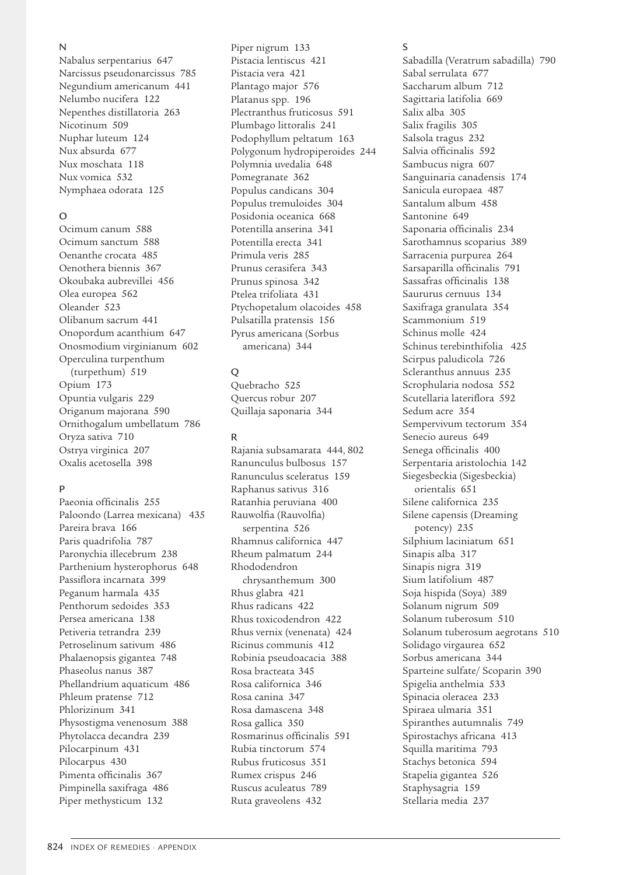#### N

Nabalus serpentarius 647 Narcissus pseudonarcissus 785 Negundium americanum 441 Nelumbo nucifera 122 Nepenthes distillatoria 263 Nicotinum 509 Nuphar luteum 124 Nux absurda 677 Nux moschata 118 Nux vomica 532 Nymphaea odorata 125

# $\Omega$

Ocimum canum 588 Ocimum sanctum 588 Oenanthe crocata 485 Oenothera biennis 367 Okoubaka aubrevillei 456 Olea europea 562 Oleander 523 Olibanum sacrum 441 Onopordum acanthium 647 Onosmodium virginianum 602 Operculina turpenthum (turpethum) 519 Opium 173 Opuntia vulgaris 229 Origanum majorana 590 Ornithogalum umbellatum 786 Oryza sativa 710 Ostrya virginica 207 Oxalis acetosella 398

# $\mathbf{D}$

Paeonia officinalis 255 Paloondo (Larrea mexicana) 435 Pareira brava 166 Paris quadrifolia 787 Paronychia illecebrum 238 Parthenium hysterophorus 648 Passiflora incarnata 399 Peganum harmala 435 Penthorum sedoides 353 Persea americana 138 Petiveria tetrandra 239 Petroselinum sativum 486 Phalaenopsis gigantea 748 Phaseolus nanus 387 Phellandrium aquaticum 486 Phleum pratense 712 Phlorizinum 341 Physostigma venenosum 388 Phytolacca decandra 239 Pilocarpinum 431 Pilocarpus 430 Pimenta officinalis 367 Pimpinella saxifraga 486 Piper methysticum 132

Piper nigrum 133 Pistacia lentiscus 421 Pistacia vera 421 Plantago major 576 Platanus spp. 196 Plectranthus fruticosus 591 Plumbago littoralis 241 Podophyllum peltatum 163 Polygonum hydropiperoides 244 Polymnia uvedalia 648 Pomegranate 362 Populus candicans 304 Populus tremuloides 304 Posidonia oceanica 668 Potentilla anserina 341 Potentilla erecta 341 Primula veris 285 Prunus cerasifera 343 Prunus spinosa 342 Ptelea trifoliata 431 Ptychopetalum olacoides 458 Pulsatilla pratensis 156 Pyrus americana (Sorbus americana) 344

## $\overline{O}$

Quebracho 525 Quercus robur 207 Quillaja saponaria 344

## R

Rajania subsamarata 444, 802 Ranunculus bulbosus 157 Ranunculus sceleratus 159 Raphanus sativus 316 Ratanhia peruviana 400 Rauwolfia (Rauvolfia) serpentina 526 Rhamnus californica 447 Rheum palmatum 244 Rhododendron chrysanthemum 300 Rhus glabra 421 Rhus radicans 422 Rhus toxicodendron 422 Rhus vernix (venenata) 424 Ricinus communis 412 Robinia pseudoacacia 388 Rosa bracteata 345 Rosa californica 346 Rosa canina 347 Rosa damascena 348 Rosa gallica 350 Rosmarinus officinalis 591 Rubia tinctorum 574 Rubus fruticosus 351 Rumex crispus 246 Ruscus aculeatus 789 Ruta graveolens 432

S

Sabadilla (Veratrum sabadilla) 790 Sabal serrulata 677 Saccharum album 712 Sagittaria latifolia 669 Salix alba 305 Salix fragilis 305 Salsola tragus 232 Salvia officinalis 592 Sambucus nigra 607 Sanguinaria canadensis 174 Sanicula europaea 487 Santalum album 458 Santonine 649 Saponaria officinalis 234 Sarothamnus scoparius 389 Sarracenia purpurea 264 Sarsaparilla officinalis 791 Sassafras officinalis 138 Saururus cernuus 134 Saxifraga granulata 354 Scammonium 519 Schinus molle 424 Schinus terebinthifolia 425 Scirpus paludicola 726 Scleranthus annuus 235 Scrophularia nodosa 552 Scutellaria lateriflora 592 Sedum acre 354 Sempervivum tectorum 354 Senecio aureus 649 Senega officinalis 400 Serpentaria aristolochia 142 Siegesbeckia (Sigesbeckia) orientalis 651 Silene californica 235 Silene capensis (Dreaming potency) 235 Silphium laciniatum 651 Sinapis alba 317 Sinapis nigra 319 Sium latifolium 487 Soja hispida (Soya) 389 Solanum nigrum 509 Solanum tuberosum 510 Solanum tuberosum aegrotans 510 Solidago virgaurea 652 Sorbus americana 344 Sparteine sulfate/ Scoparin 390 Spigelia anthelmia 533 Spinacia oleracea 233 Spiraea ulmaria 351 Spiranthes autumnalis 749 Spirostachys africana 413 Squilla maritima 793 Stachys betonica 594 Stapelia gigantea 526 Staphysagria 159 Stellaria media 237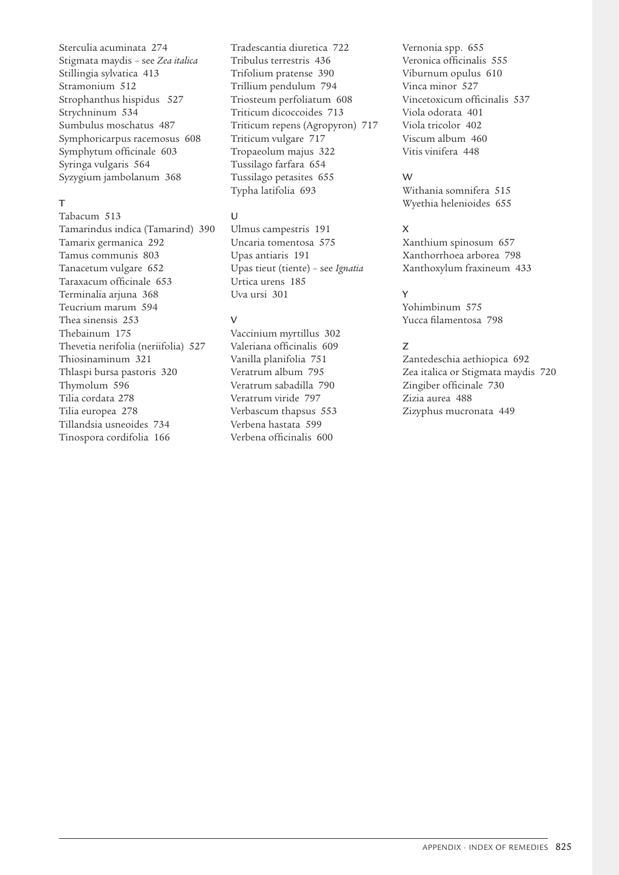Sterculia acuminata 274 Stigmata maydis – see *Zea italica* Stillingia sylvatica 413 Stramonium 512 Strophanthus hispidus 527 Strychninum 534 Sumbulus moschatus 487 Symphoricarpus racemosus 608 Symphytum officinale 603 Syringa vulgaris 564 Syzygium jambolanum 368

# $\mathbf{T}$

Tabacum 513 Tamarindus indica (Tamarind) 390 Tamarix germanica 292 Tamus communis 803 Tanacetum vulgare 652 Taraxacum officinale 653 Terminalia arjuna 368 Teucrium marum 594 Thea sinensis 253 Thebainum 175 Thevetia nerifolia (neriifolia) 527 Thiosinaminum 321 Thlaspi bursa pastoris 320 Thymolum 596 Tilia cordata 278 Tilia europea 278 Tillandsia usneoides 734 Tinospora cordifolia 166

Tradescantia diuretica 722 Tribulus terrestris 436 Trifolium pratense 390 Trillium pendulum 794 Triosteum perfoliatum 608 Triticum dicoccoides 713 Triticum repens (Agropyron) 717 Triticum vulgare 717 Tropaeolum majus 322 Tussilago farfara 654 Tussilago petasites 655 Typha latifolia 693

# $\cup$

Ulmus campestris 191 Uncaria tomentosa 575 Upas antiaris 191 Upas tieut (tiente) – see *Ignatia* Urtica urens 185 Uva ursi 301

# $\overline{V}$

Vaccinium myrtillus 302 Valeriana officinalis 609 Vanilla planifolia 751 Veratrum album 795 Veratrum sabadilla 790 Veratrum viride 797 Verbascum thapsus 553 Verbena hastata 599 Verbena officinalis 600

Vernonia spp. 655 Veronica officinalis 555 Viburnum opulus 610 Vinca minor 527 Vincetoxicum officinalis 537 Viola odorata 401 Viola tricolor 402 Viscum album 460 Vitis vinifera 448

# W

Withania somnifera 515 Wyethia helenioides 655

# X

Xanthium spinosum 657 Xanthorrhoea arborea 798 Xanthoxylum fraxineum 433

# Y

Yohimbinum 575 Yucca filamentosa 798

# Z

Zantedeschia aethiopica 692 Zea italica or Stigmata maydis 720 Zingiber officinale 730 Zizia aurea 488 Zizyphus mucronata 449